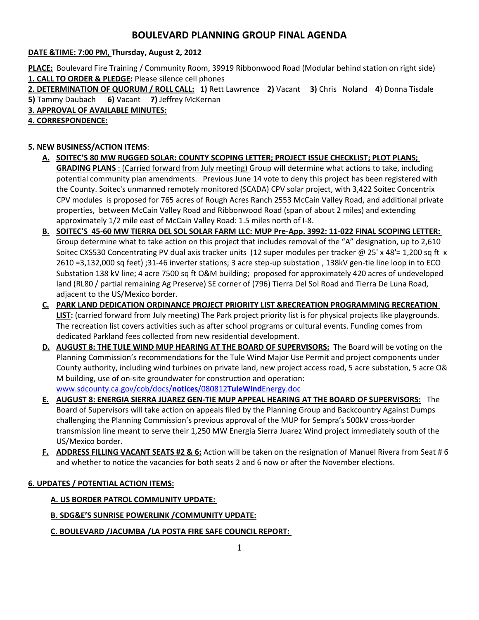# **BOULEVARD PLANNING GROUP FINAL AGENDA**

## **DATE &TIME: 7:00 PM, Thursday, August 2, 2012**

**PLACE:** Boulevard Fire Training / Community Room, 39919 Ribbonwood Road (Modular behind station on right side) **1. CALL TO ORDER & PLEDGE:** Please silence cell phones

**2. DETERMINATION OF QUORUM / ROLL CALL: 1)** Rett Lawrence **2)** Vacant **3)** Chris Noland **4**) Donna Tisdale **5)** Tammy Daubach **6)** Vacant **7)** Jeffrey McKernan

**3. APPROVAL OF AVAILABLE MINUTES:** 

## **4. CORRESPONDENCE:**

## **5. NEW BUSINESS/ACTION ITEMS**:

- **A. SOITEC'S 80 MW RUGGED SOLAR: COUNTY SCOPING LETTER; PROJECT ISSUE CHECKLIST; PLOT PLANS; GRADING PLANS** : (Carried forward from July meeting) Group will determine what actions to take, including potential community plan amendments. Previous June 14 vote to deny this project has been registered with the County. Soitec's unmanned remotely monitored (SCADA) CPV solar project, with 3,422 Soitec Concentrix CPV modules is proposed for 765 acres of Rough Acres Ranch 2553 McCain Valley Road, and additional private properties, between McCain Valley Road and Ribbonwood Road (span of about 2 miles) and extending approximately 1/2 mile east of McCain Valley Road: 1.5 miles north of I-8.
- **B. SOITEC'S 45-60 MW TIERRA DEL SOL SOLAR FARM LLC: MUP Pre-App. 3992: 11-022 FINAL SCOPING LETTER:**  Group determine what to take action on this project that includes removal of the "A" designation, up to 2,610 Soitec CXS530 Concentrating PV dual axis tracker units (12 super modules per tracker @ 25' x 48'= 1,200 sq ft x 2610 =3,132,000 sq feet) ;31-46 inverter stations; 3 acre step-up substation , 138kV gen-tie line loop in to ECO Substation 138 kV line; 4 acre 7500 sq ft O&M building; proposed for approximately 420 acres of undeveloped land (RL80 / partial remaining Ag Preserve) SE corner of (796) Tierra Del Sol Road and Tierra De Luna Road, adjacent to the US/Mexico border.
- **C. PARK LAND DEDICATION ORDINANCE PROJECT PRIORITY LIST &RECREATION PROGRAMMING RECREATION LIST:** (carried forward from July meeting) The Park project priority list is for physical projects like playgrounds. The recreation list covers activities such as after school programs or cultural events. Funding comes from dedicated Parkland fees collected from new residential development.
- **D. AUGUST 8: THE TULE WIND MUP HEARING AT THE BOARD OF SUPERVISORS:** The Board will be voting on the Planning Commission's recommendations for the Tule Wind Major Use Permit and project components under County authority, including wind turbines on private land, new project access road, 5 acre substation, 5 acre O& M building, use of on-site groundwater for construction and operation: [www.sdcounty.ca.gov/cob/docs/](http://www.sdcounty.ca.gov/cob/docs/notices/080812TuleWindEnergy.doc)**notices**/080812**TuleWind**Energy.doc
- **E. AUGUST 8: ENERGIA SIERRA JUAREZ GEN-TIE MUP APPEAL HEARING AT THE BOARD OF SUPERVISORS:** The Board of Supervisors will take action on appeals filed by the Planning Group and Backcountry Against Dumps challenging the Planning Commission's previous approval of the MUP for Sempra's 500kV cross-border transmission line meant to serve their 1,250 MW Energia Sierra Juarez Wind project immediately south of the US/Mexico border.
- **F. ADDRESS FILLING VACANT SEATS #2 & 6:** Action will be taken on the resignation of Manuel Rivera from Seat # 6 and whether to notice the vacancies for both seats 2 and 6 now or after the November elections.

## **6. UPDATES / POTENTIAL ACTION ITEMS:**

#### **A. US BORDER PATROL COMMUNITY UPDATE:**

## **B. SDG&E'S SUNRISE POWERLINK /COMMUNITY UPDATE:**

## **C. BOULEVARD /JACUMBA /LA POSTA FIRE SAFE COUNCIL REPORT:**